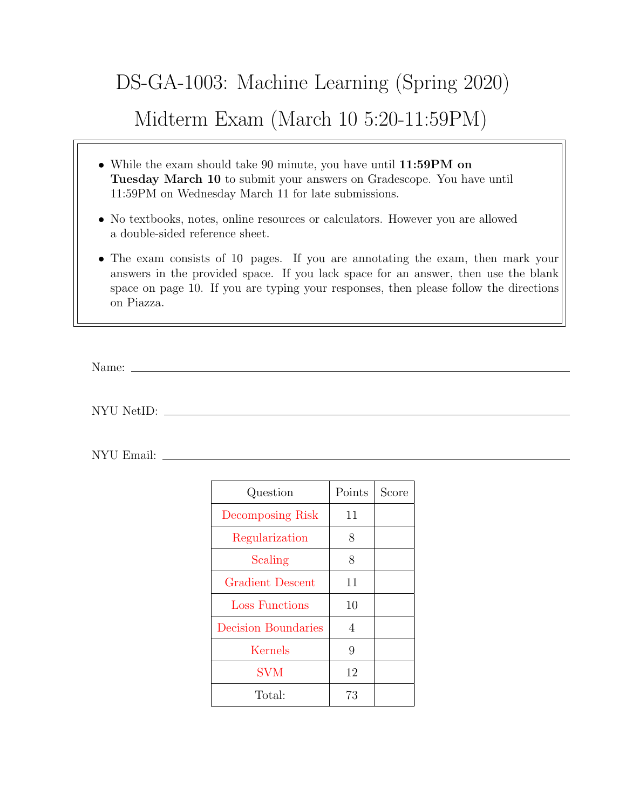## DS-GA-1003: Machine Learning (Spring 2020) Midterm Exam (March 10 5:20-11:59PM)

- While the exam should take 90 minute, you have until 11:59PM on Tuesday March 10 to submit your answers on Gradescope. You have until 11:59PM on Wednesday March 11 for late submissions.
- No textbooks, notes, online resources or calculators. However you are allowed a double-sided reference sheet.
- The exam consists of 10 pages. If you are annotating the exam, then mark your answers in the provided space. If you lack space for an answer, then use the blank space on page 10. If you are typing your responses, then please follow the directions on Piazza.

Name:  $\equiv$ 

NYU NetID:

NYU Email:

| Question                | Points | Score |
|-------------------------|--------|-------|
| Decomposing Risk        | 11     |       |
| Regularization          | 8      |       |
| Scaling                 | 8      |       |
| <b>Gradient Descent</b> | 11     |       |
| <b>Loss Functions</b>   | 10     |       |
| Decision Boundaries     | 4      |       |
| Kernels                 | 9      |       |
| <b>SVM</b>              | 12     |       |
| Total:                  | 73     |       |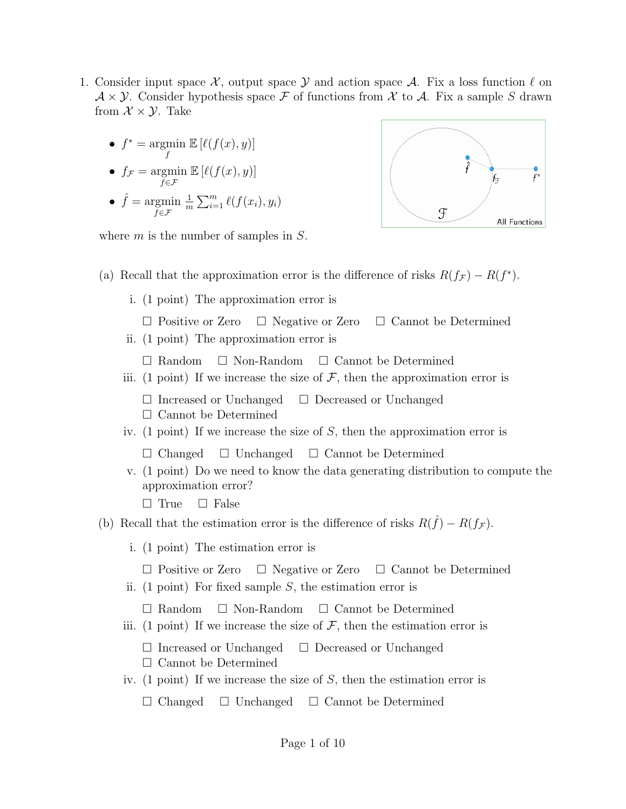- <span id="page-1-0"></span>1. Consider input space  $\mathcal{X}$ , output space  $\mathcal{Y}$  and action space  $\mathcal{A}$ . Fix a loss function  $\ell$  on  $\mathcal{A} \times \mathcal{Y}$ . Consider hypothesis space F of functions from X to A. Fix a sample S drawn from  $\mathcal{X} \times \mathcal{Y}$ . Take
	- $f^* = \operatorname{argmin}$  $\mathbb{E} \left[ \ell(f(x), y) \right]$
	- f •  $f_{\mathcal{F}} = \operatorname{argmin}$  $\mathbb{E} \left[ \ell(f(x), y) \right]$

f∈F

•  $\hat{f} = \text{argmin}$  $f \in \mathcal{F}$ 1  $\frac{1}{m}\sum_{i=1}^m \ell(f(x_i), y_i)$ 



where  $m$  is the number of samples in  $S$ .

- (a) Recall that the approximation error is the difference of risks  $R(f_{\mathcal{F}}) R(f^*)$ .
	- i. (1 point) The approximation error is
		- $\Box$  Positive or Zero  $\Box$  Negative or Zero  $\Box$  Cannot be Determined
	- ii. (1 point) The approximation error is

 $\Box$  Random  $\Box$  Non-Random  $\Box$  Cannot be Determined

iii. (1 point) If we increase the size of  $\mathcal{F}$ , then the approximation error is

 $\Box$  Increased or Unchanged  $\Box$  Decreased or Unchanged Cannot be Determined

iv. (1 point) If we increase the size of S, then the approximation error is

 $\Box$  Changed  $\Box$  Unchanged  $\Box$  Cannot be Determined

v. (1 point) Do we need to know the data generating distribution to compute the approximation error?

 $\Box$  True  $\Box$  False

- (b) Recall that the estimation error is the difference of risks  $R(\hat{f}) R(f_{\mathcal{F}})$ .
	- i. (1 point) The estimation error is
		- $\Box$  Positive or Zero  $\Box$  Negative or Zero  $\Box$  Cannot be Determined
	- ii. (1 point) For fixed sample  $S$ , the estimation error is
		- $\Box$  Random  $\Box$  Non-Random  $\Box$  Cannot be Determined
	- iii. (1 point) If we increase the size of  $\mathcal{F}$ , then the estimation error is
		- $\Box$  Increased or Unchanged  $\Box$  Decreased or Unchanged  $\square$  Cannot be Determined
	- iv. (1 point) If we increase the size of  $S$ , then the estimation error is  $\Box$  Changed  $\Box$  Unchanged  $\Box$  Cannot be Determined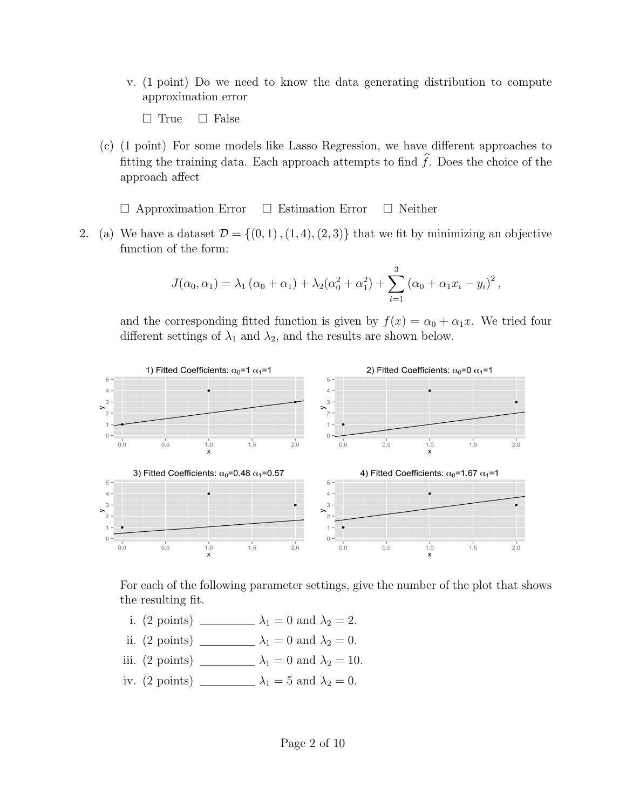- v. (1 point) Do we need to know the data generating distribution to compute approximation error
	- $\Box$  True  $\Box$  False
- (c) (1 point) For some models like Lasso Regression, we have different approaches to fitting the training data. Each approach attempts to find  $\widehat{f}$ . Does the choice of the approach affect

 $\Box$  Approximation Error  $\Box$  Estimation Error  $\Box$  Neither

<span id="page-2-0"></span>2. (a) We have a dataset  $\mathcal{D} = \{(0, 1), (1, 4), (2, 3)\}\$ that we fit by minimizing an objective function of the form:

$$
J(\alpha_0, \alpha_1) = \lambda_1 (\alpha_0 + \alpha_1) + \lambda_2 (\alpha_0^2 + \alpha_1^2) + \sum_{i=1}^3 (\alpha_0 + \alpha_1 x_i - y_i)^2,
$$

and the corresponding fitted function is given by  $f(x) = \alpha_0 + \alpha_1 x$ . We tried four different settings of  $\lambda_1$  and  $\lambda_2$ , and the results are shown below.



For each of the following parameter settings, give the number of the plot that shows the resulting fit.

- i. (2 points)  $\qquad \qquad \lambda_1 = 0$  and  $\lambda_2 = 2$ .
- ii. (2 points) λ<sup>1</sup> = 0 and λ<sup>2</sup> = 0.
- iii. (2 points) \_\_\_\_\_\_\_\_\_  $\lambda_1 = 0$  and  $\lambda_2 = 10$ .
- iv. (2 points) λ<sup>1</sup> = 5 and λ<sup>2</sup> = 0.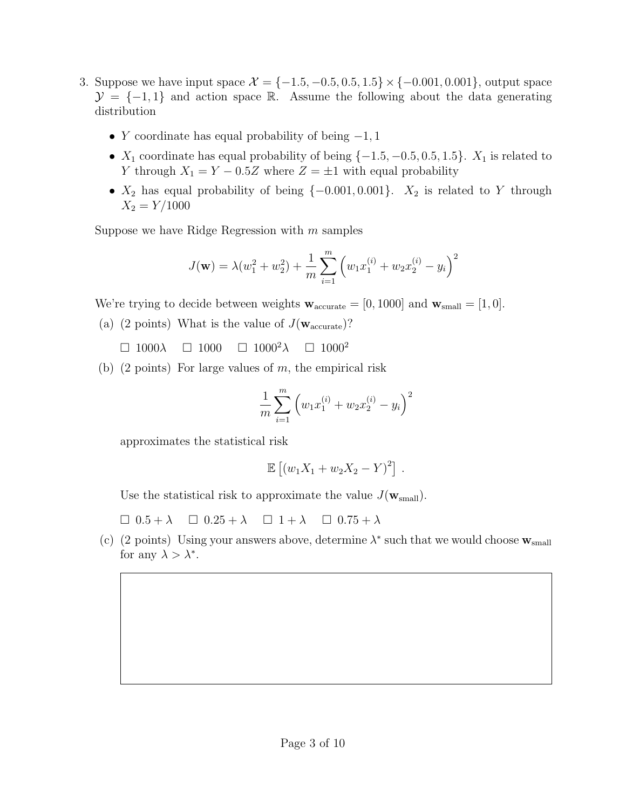- <span id="page-3-0"></span>3. Suppose we have input space  $\mathcal{X} = \{-1.5, -0.5, 0.5, 1.5\} \times \{-0.001, 0.001\}$ , output space  $\mathcal{Y} = \{-1, 1\}$  and action space R. Assume the following about the data generating distribution
	- Y coordinate has equal probability of being  $-1, 1$
	- $X_1$  coordinate has equal probability of being  $\{-1.5, -0.5, 0.5, 1.5\}$ .  $X_1$  is related to Y through  $X_1 = Y - 0.5Z$  where  $Z = \pm 1$  with equal probability
	- $X_2$  has equal probability of being  $\{-0.001, 0.001\}$ .  $X_2$  is related to Y through  $X_2 = Y/1000$

Suppose we have Ridge Regression with  $m$  samples

$$
J(\mathbf{w}) = \lambda (w_1^2 + w_2^2) + \frac{1}{m} \sum_{i=1}^m \left( w_1 x_1^{(i)} + w_2 x_2^{(i)} - y_i \right)^2
$$

We're trying to decide between weights  $\mathbf{w}_{\text{accurate}} = [0, 1000]$  and  $\mathbf{w}_{\text{small}} = [1, 0]$ .

- (a) (2 points) What is the value of  $J(\mathbf{w}_{\text{accurate}})$ ?
	- $\Box$  1000 $\lambda$   $\Box$  1000 $\Box$  1000 $\lambda$   $\Box$  1000<sup>2</sup>
- (b) (2 points) For large values of  $m$ , the empirical risk

$$
\frac{1}{m} \sum_{i=1}^{m} \left( w_1 x_1^{(i)} + w_2 x_2^{(i)} - y_i \right)^2
$$

approximates the statistical risk

$$
\mathbb{E} [(w_1X_1 + w_2X_2 - Y)^2].
$$

Use the statistical risk to approximate the value  $J(\mathbf{w}_{small})$ .

 $\Box$  0.5 +  $\lambda$   $\Box$  0.25 +  $\lambda$   $\Box$  1 +  $\lambda$   $\Box$  0.75 +  $\lambda$ 

(c) (2 points) Using your answers above, determine  $\lambda^*$  such that we would choose  $\mathbf{w}_{\text{small}}$ for any  $\lambda > \lambda^*$ .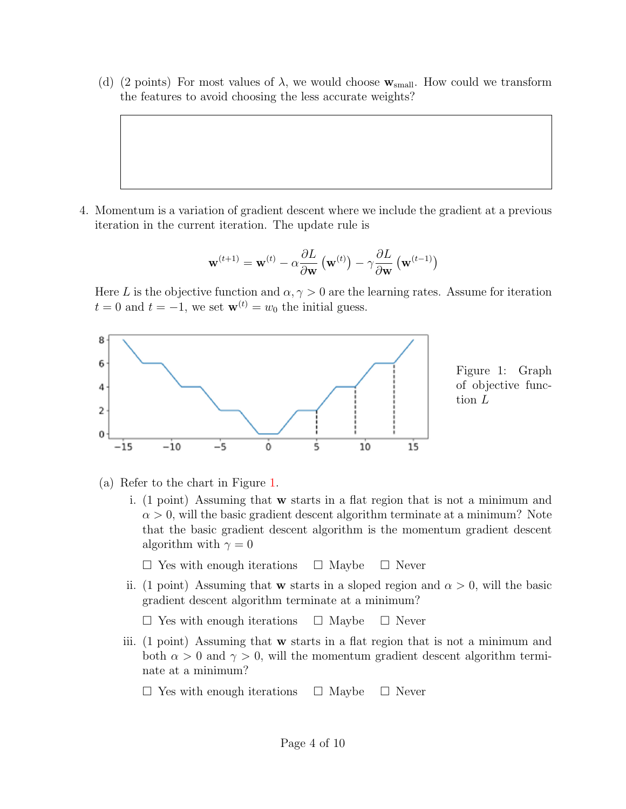(d) (2 points) For most values of  $\lambda$ , we would choose  $\mathbf{w}_{\text{small}}$ . How could we transform the features to avoid choosing the less accurate weights?

<span id="page-4-0"></span>4. Momentum is a variation of gradient descent where we include the gradient at a previous iteration in the current iteration. The update rule is

$$
\mathbf{w}^{(t+1)} = \mathbf{w}^{(t)} - \alpha \frac{\partial L}{\partial \mathbf{w}} \left( \mathbf{w}^{(t)} \right) - \gamma \frac{\partial L}{\partial \mathbf{w}} \left( \mathbf{w}^{(t-1)} \right)
$$

Here L is the objective function and  $\alpha, \gamma > 0$  are the learning rates. Assume for iteration  $t = 0$  and  $t = -1$ , we set  $\mathbf{w}^{(t)} = w_0$  the initial guess.

<span id="page-4-1"></span>

Figure 1: Graph of objective function L

- (a) Refer to the chart in Figure [1.](#page-4-1)
	- i. (1 point) Assuming that w starts in a flat region that is not a minimum and  $\alpha > 0$ , will the basic gradient descent algorithm terminate at a minimum? Note that the basic gradient descent algorithm is the momentum gradient descent algorithm with  $\gamma = 0$ 
		- $\Box$  Yes with enough iterations  $\Box$  Maybe  $\Box$  Never
	- ii. (1 point) Assuming that **w** starts in a sloped region and  $\alpha > 0$ , will the basic gradient descent algorithm terminate at a minimum?

 $\Box$  Yes with enough iterations  $\Box$  Maybe  $\Box$  Never

- iii. (1 point) Assuming that w starts in a flat region that is not a minimum and both  $\alpha > 0$  and  $\gamma > 0$ , will the momentum gradient descent algorithm terminate at a minimum?
	- $\Box$  Yes with enough iterations  $\Box$  Maybe  $\Box$  Never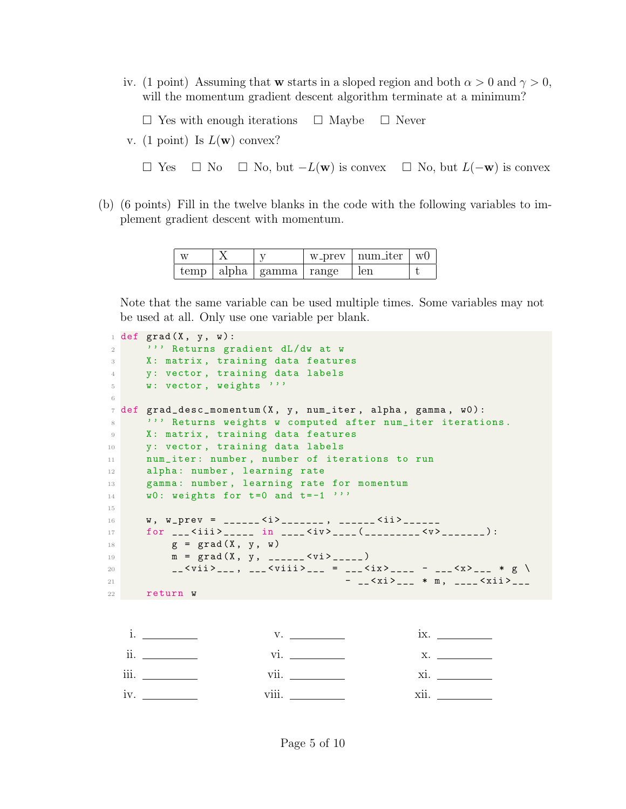iv. (1 point) Assuming that w starts in a sloped region and both  $\alpha > 0$  and  $\gamma > 0$ , will the momentum gradient descent algorithm terminate at a minimum?

 $\Box$  Yes with enough iterations  $\Box$  Maybe  $\Box$  Never

v. (1 point) Is  $L(\mathbf{w})$  convex?

 $\Box$  Yes  $\Box$  No  $\Box$  No, but  $-L(\mathbf{w})$  is convex  $\Box$  No, but  $L(-\mathbf{w})$  is convex

(b) (6 points) Fill in the twelve blanks in the code with the following variables to implement gradient descent with momentum.

| W |                                         | $w_{\text{prev}} \mid \text{num\_iter} \mid w0$ |  |
|---|-----------------------------------------|-------------------------------------------------|--|
|   | $temp \mid alpha \mid gamma \mid range$ | len                                             |  |

Note that the same variable can be used multiple times. Some variables may not be used at all. Only use one variable per blank.

```
1 def grad (X, y, w):
2 ''' Returns gradient dL/dw at w
3 X: matrix , training data features
4 y: vector , training data labels
5 W: vector, weights '''
6
7 def grad_desc_momentum (X, y, num\_iter, alpha, gamma, w0):
8 ''' Returns weights w computed after num_iter iterations.
9 X: matrix, training data features
10 y: vector, training data labels
11 num_iter: number, number of iterations to run
12 alpha: number, learning rate
13 gamma: number, learning rate for momentum
14 w0: weights for t=0 and t=-1 '''
15
16 W, W_Pprev = ______ <i>_______, ______ <ii>______
17 for ___ < iii > _____ in ____ < iv > ____ ( _________ <v > _______ ) :
18 g = \text{grad}(X, y, w)19 m = \text{grad}(X, y, \dots, Z)20 __ < vii > ___ , ___ < viii > ___ = ___ < ix > ____ - ___ <x > ___ * g \
21 - __ < xi > ___ * m , ____ < xii > ___
22 return w
```

| ii.  | Vl.                   | Х.                |
|------|-----------------------|-------------------|
| iii. | $\cdot \cdot$<br>Vll. | Xl.               |
| iv.  | $\cdots$<br>VIII.     | $\cdot$ .<br>XII. |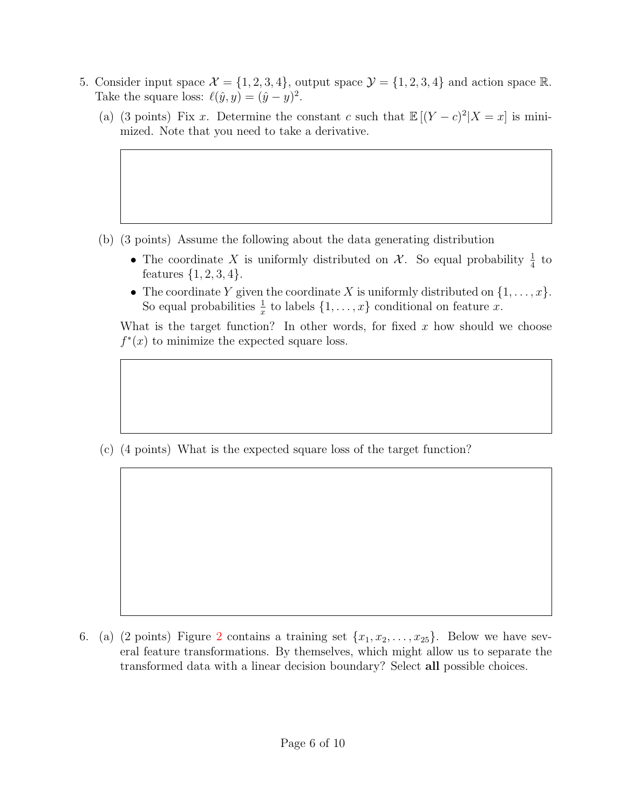- <span id="page-6-0"></span>5. Consider input space  $\mathcal{X} = \{1, 2, 3, 4\}$ , output space  $\mathcal{Y} = \{1, 2, 3, 4\}$  and action space R. Take the square loss:  $\ell(\hat{y}, y) = (\hat{y} - y)^2$ .
	- (a) (3 points) Fix x. Determine the constant c such that  $\mathbb{E}[(Y-c)^2|X=x]$  is minimized. Note that you need to take a derivative.

- (b) (3 points) Assume the following about the data generating distribution
	- The coordinate X is uniformly distributed on  $\mathcal{X}$ . So equal probability  $\frac{1}{4}$  to features  $\{1, 2, 3, 4\}.$
	- The coordinate Y given the coordinate X is uniformly distributed on  $\{1, \ldots, x\}$ . So equal probabilities  $\frac{1}{x}$  to labels  $\{1, \ldots, x\}$  conditional on feature x.

What is the target function? In other words, for fixed  $x$  how should we choose  $f^*(x)$  to minimize the expected square loss.

(c) (4 points) What is the expected square loss of the target function?

<span id="page-6-1"></span>6. (a) ([2](#page-7-1) points) Figure 2 contains a training set  $\{x_1, x_2, \ldots, x_{25}\}$ . Below we have several feature transformations. By themselves, which might allow us to separate the transformed data with a linear decision boundary? Select all possible choices.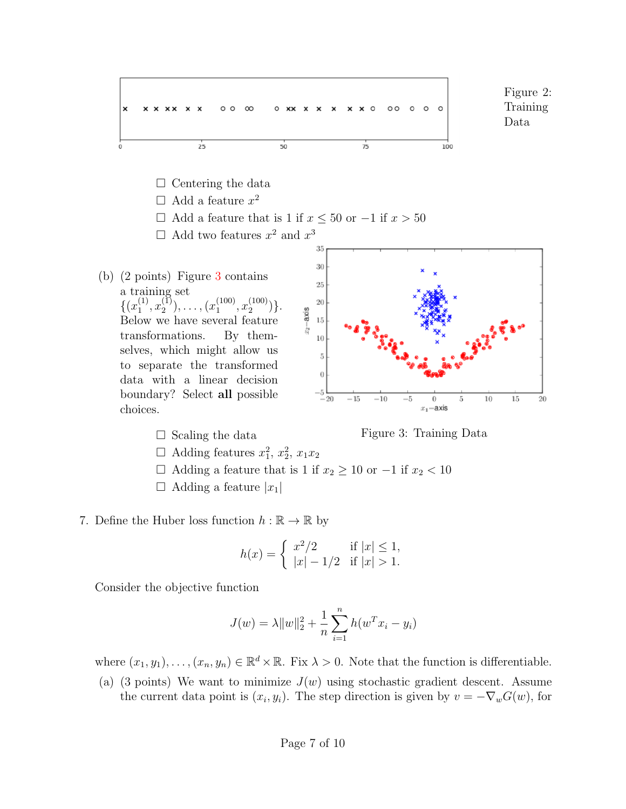<span id="page-7-1"></span>



- $\Box$  Adding features  $x_1^2, x_2^2, x_1x_2$
- $□$  Adding a feature that is 1 if  $x_2 \ge 10$  or  $-1$  if  $x_2 < 10$
- $\Box$  Adding a feature  $|x_1|$
- <span id="page-7-0"></span>7. Define the Huber loss function  $h : \mathbb{R} \to \mathbb{R}$  by

<span id="page-7-2"></span>
$$
h(x) = \begin{cases} x^2/2 & \text{if } |x| \le 1, \\ |x| - 1/2 & \text{if } |x| > 1. \end{cases}
$$

Consider the objective function

$$
J(w) = \lambda ||w||_2^2 + \frac{1}{n} \sum_{i=1}^n h(w^T x_i - y_i)
$$

where  $(x_1, y_1), \ldots, (x_n, y_n) \in \mathbb{R}^d \times \mathbb{R}$ . Fix  $\lambda > 0$ . Note that the function is differentiable.

(a) (3 points) We want to minimize  $J(w)$  using stochastic gradient descent. Assume the current data point is  $(x_i, y_i)$ . The step direction is given by  $v = -\nabla_w G(w)$ , for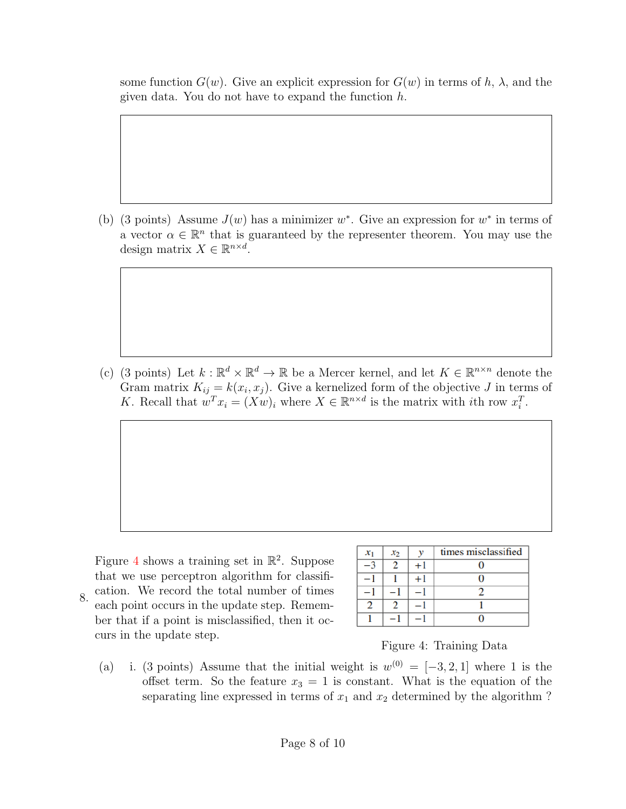some function  $G(w)$ . Give an explicit expression for  $G(w)$  in terms of h,  $\lambda$ , and the given data. You do not have to expand the function  $h$ .

(b) (3 points) Assume  $J(w)$  has a minimizer w<sup>\*</sup>. Give an expression for  $w^*$  in terms of a vector  $\alpha \in \mathbb{R}^n$  that is guaranteed by the representer theorem. You may use the design matrix  $X \in \mathbb{R}^{n \times d}$ .

(c) (3 points) Let  $k : \mathbb{R}^d \times \mathbb{R}^d \to \mathbb{R}$  be a Mercer kernel, and let  $K \in \mathbb{R}^{n \times n}$  denote the Gram matrix  $K_{ij} = k(x_i, x_j)$ . Give a kernelized form of the objective J in terms of K. Recall that  $w^T x_i = (Xw)_i$  where  $X \in \mathbb{R}^{n \times d}$  is the matrix with *i*th row  $x_i^T$ .

<span id="page-8-0"></span>8. Figure [4](#page-8-1) shows a training set in  $\mathbb{R}^2$ . Suppose that we use perceptron algorithm for classification. We record the total number of times each point occurs in the update step. Remember that if a point is misclassified, then it occurs in the update step.

| $x_1$ | $x_2$ |      | times misclassified |
|-------|-------|------|---------------------|
|       |       | $+1$ |                     |
|       |       | + l  |                     |
|       |       |      |                     |
| າ     |       |      |                     |
|       |       |      |                     |

<span id="page-8-1"></span>Figure 4: Training Data

(a) i. (3 points) Assume that the initial weight is  $w^{(0)} = [-3, 2, 1]$  where 1 is the offset term. So the feature  $x_3 = 1$  is constant. What is the equation of the separating line expressed in terms of  $x_1$  and  $x_2$  determined by the algorithm ?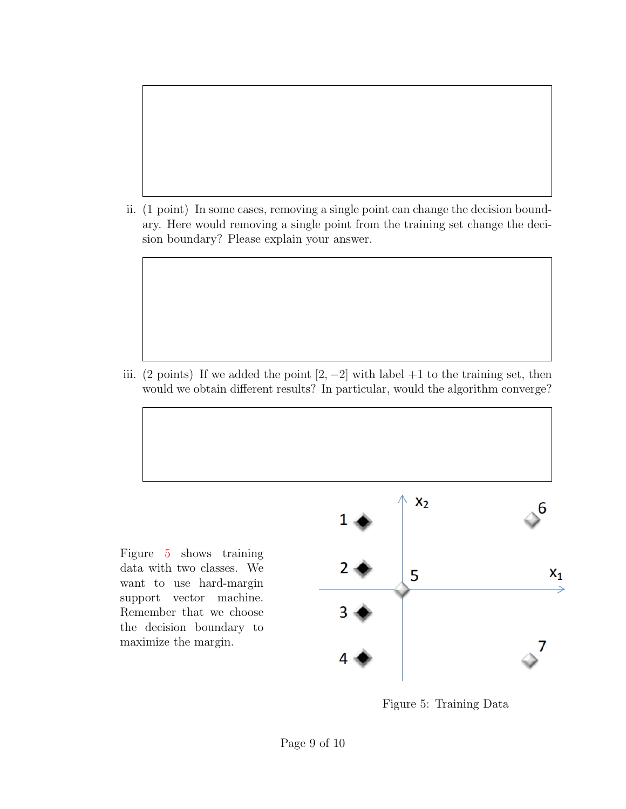ii. (1 point) In some cases, removing a single point can change the decision boundary. Here would removing a single point from the training set change the decision boundary? Please explain your answer.

iii. (2 points) If we added the point  $[2, -2]$  with label +1 to the training set, then would we obtain different results? In particular, would the algorithm converge?

Figure [5](#page-9-0) shows training data with two classes. We want to use hard-margin support vector machine. Remember that we choose the decision boundary to maximize the margin.



<span id="page-9-0"></span>Figure 5: Training Data